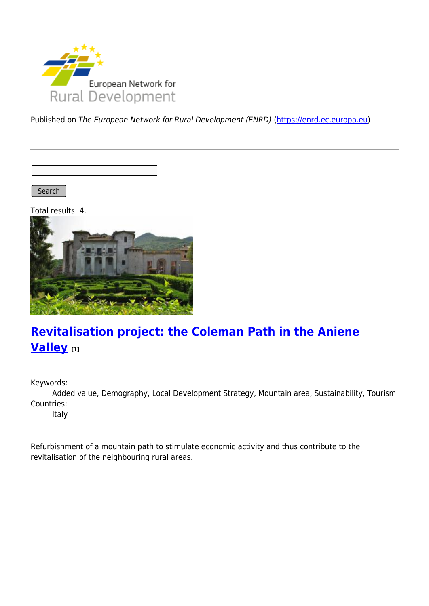

Published on The European Network for Rural Development (ENRD) [\(https://enrd.ec.europa.eu](https://enrd.ec.europa.eu))

Search

Total results: 4.



# **[Revitalisation project: the Coleman Path in the Aniene](https://enrd.ec.europa.eu/projects-practice/revitalisation-project-coleman-path-aniene-valley_en) [Valley](https://enrd.ec.europa.eu/projects-practice/revitalisation-project-coleman-path-aniene-valley_en) [1]**

Keywords:

Added value, Demography, Local Development Strategy, Mountain area, Sustainability, Tourism Countries:

Italy

Refurbishment of a mountain path to stimulate economic activity and thus contribute to the revitalisation of the neighbouring rural areas.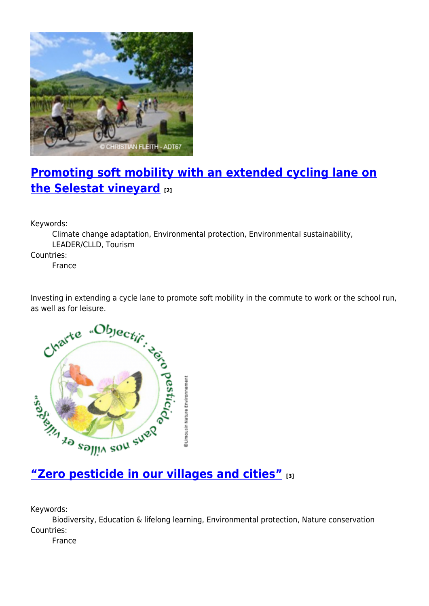

# **[Promoting soft mobility with an extended cycling lane on](https://enrd.ec.europa.eu/projects-practice/promoting-soft-mobility-extended-cycling-lane-selestat-vineyard_en) [the Selestat vineyard](https://enrd.ec.europa.eu/projects-practice/promoting-soft-mobility-extended-cycling-lane-selestat-vineyard_en) [2]**

Keywords:

Climate change adaptation, Environmental protection, Environmental sustainability, LEADER/CLLD, Tourism

Countries:

France

Investing in extending a cycle lane to promote soft mobility in the commute to work or the school run,



Keywords:

Biodiversity, Education & lifelong learning, Environmental protection, Nature conservation Countries:

France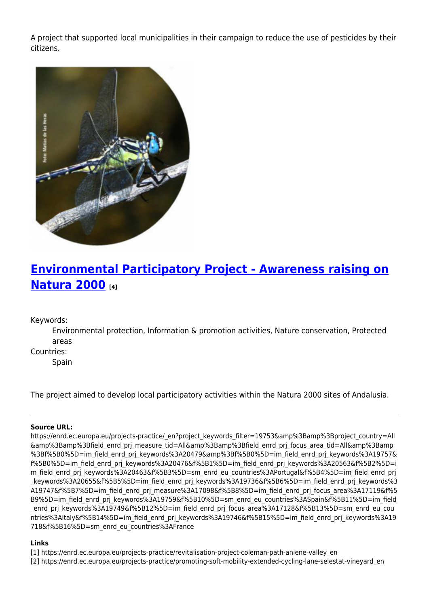A project that supported local municipalities in their campaign to reduce the use of pesticides by their citizens.



## **[Environmental Participatory Project - Awareness raising on](https://enrd.ec.europa.eu/projects-practice/environmental-participatory-project-awareness-raising-natura-2000_en) [Natura 2000](https://enrd.ec.europa.eu/projects-practice/environmental-participatory-project-awareness-raising-natura-2000_en) [4]**

### Keywords:

Environmental protection, Information & promotion activities, Nature conservation, Protected areas

Countries:

Spain

The project aimed to develop local participatory activities within the Natura 2000 sites of Andalusia.

#### **Source URL:**

https://enrd.ec.europa.eu/projects-practice/\_en?project\_keywords\_filter=19753&amp%3Bamp%3Bproject\_country=All &amp%3Bamp%3Bfield\_enrd\_prj\_measure\_tid=All&amp%3Bamp%3Bfield\_enrd\_prj\_focus\_area\_tid=All&amp%3Bamp %3Bf%5B0%5D=im\_field\_enrd\_prj\_keywords%3A20479&amp%3Bf%5B0%5D=im\_field\_enrd\_prj\_keywords%3A19757& f%5B0%5D=im\_field\_enrd\_prj\_keywords%3A20476&f%5B1%5D=im\_field\_enrd\_prj\_keywords%3A20563&f%5B2%5D=i m\_field\_enrd\_prj\_keywords%3A20463&f%5B3%5D=sm\_enrd\_eu\_countries%3APortugal&f%5B4%5D=im\_field\_enrd\_prj keywords%3A20655&f%5B5%5D=im\_field\_enrd\_prj\_keywords%3A19736&f%5B6%5D=im\_field\_enrd\_prj\_keywords%3 A19747&f%5B7%5D=im\_field\_enrd\_prj\_measure%3A17098&f%5B8%5D=im\_field\_enrd\_prj\_focus\_area%3A17119&f%5 B9%5D=im\_field\_enrd\_prj\_keywords%3A19759&f%5B10%5D=sm\_enrd\_eu\_countries%3ASpain&f%5B11%5D=im\_field enrd pri keywords%3A19749&f%5B12%5D=im field enrd pri focus area%3A17128&f%5B13%5D=sm\_enrd\_eu\_cou ntries%3AItaly&f%5B14%5D=im\_field\_enrd\_prj\_keywords%3A19746&f%5B15%5D=im\_field\_enrd\_prj\_keywords%3A19 718&f%5B16%5D=sm\_enrd\_eu\_countries%3AFrance

#### **Links**

- [1] https://enrd.ec.europa.eu/projects-practice/revitalisation-project-coleman-path-aniene-valley\_en
- [2] https://enrd.ec.europa.eu/projects-practice/promoting-soft-mobility-extended-cycling-lane-selestat-vineyard\_en